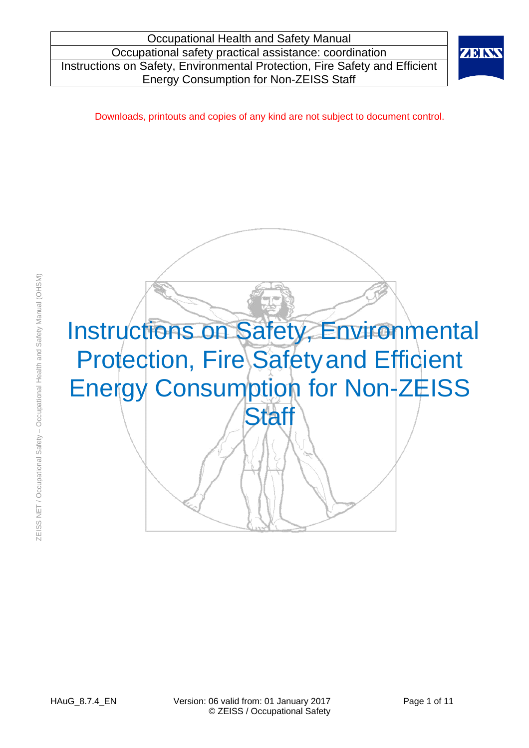

Downloads, printouts and copies of any kind are not subject to document control.

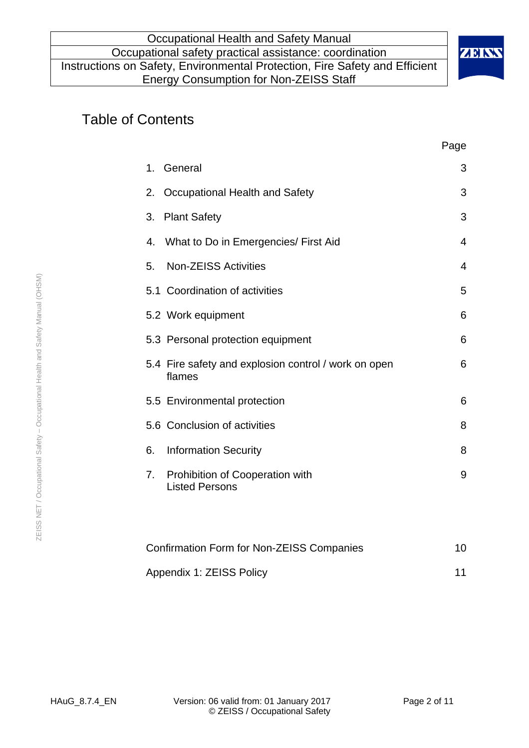

# Table of Contents

|                                                                | Page           |
|----------------------------------------------------------------|----------------|
| General<br>1.                                                  | 3              |
| Occupational Health and Safety<br>2.                           | 3              |
| <b>Plant Safety</b><br>3.                                      | 3              |
| What to Do in Emergencies/ First Aid<br>4.                     | 4              |
| <b>Non-ZEISS Activities</b><br>5.                              | $\overline{4}$ |
| 5.1 Coordination of activities                                 | 5              |
| 5.2 Work equipment                                             | 6              |
| 5.3 Personal protection equipment                              | 6              |
| 5.4 Fire safety and explosion control / work on open<br>flames | 6              |
| 5.5 Environmental protection                                   | 6              |
| 5.6 Conclusion of activities                                   | 8              |
| <b>Information Security</b><br>6.                              | 8              |
| Prohibition of Cooperation with<br>7.<br><b>Listed Persons</b> | 9              |
|                                                                |                |
| <b>Confirmation Form for Non-ZEISS Companies</b>               | 10             |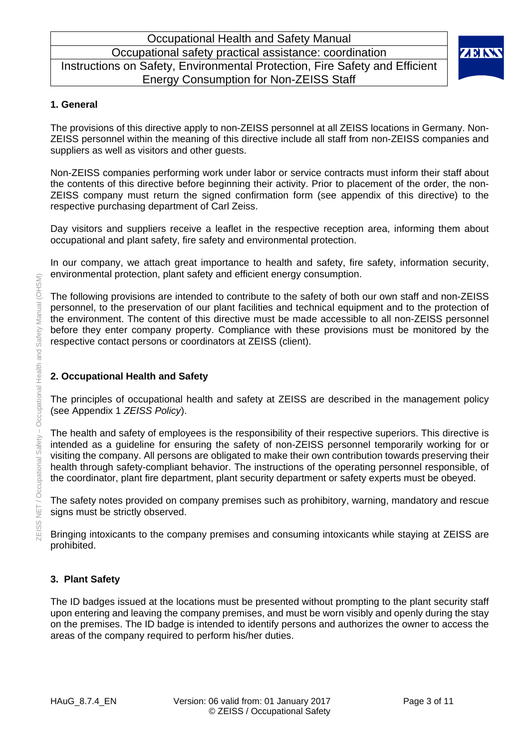

#### **1. General**

The provisions of this directive apply to non-ZEISS personnel at all ZEISS locations in Germany. Non-ZEISS personnel within the meaning of this directive include all staff from non-ZEISS companies and suppliers as well as visitors and other guests.

Non-ZEISS companies performing work under labor or service contracts must inform their staff about the contents of this directive before beginning their activity. Prior to placement of the order, the non-ZEISS company must return the signed confirmation form (see appendix of this directive) to the respective purchasing department of Carl Zeiss.

Day visitors and suppliers receive a leaflet in the respective reception area, informing them about occupational and plant safety, fire safety and environmental protection.

In our company, we attach great importance to health and safety, fire safety, information security, environmental protection, plant safety and efficient energy consumption.

The following provisions are intended to contribute to the safety of both our own staff and non-ZEISS personnel, to the preservation of our plant facilities and technical equipment and to the protection of the environment. The content of this directive must be made accessible to all non-ZEISS personnel before they enter company property. Compliance with these provisions must be monitored by the respective contact persons or coordinators at ZEISS (client).

### **2. Occupational Health and Safety**

The principles of occupational health and safety at ZEISS are described in the management policy (see Appendix 1 *ZEISS Policy*).

The health and safety of employees is the responsibility of their respective superiors. This directive is intended as a guideline for ensuring the safety of non-ZEISS personnel temporarily working for or visiting the company. All persons are obligated to make their own contribution towards preserving their health through safety-compliant behavior. The instructions of the operating personnel responsible, of the coordinator, plant fire department, plant security department or safety experts must be obeyed.

The safety notes provided on company premises such as prohibitory, warning, mandatory and rescue signs must be strictly observed.

Bringing intoxicants to the company premises and consuming intoxicants while staying at ZEISS are prohibited.

#### **3. Plant Safety**

The ID badges issued at the locations must be presented without prompting to the plant security staff upon entering and leaving the company premises, and must be worn visibly and openly during the stay on the premises. The ID badge is intended to identify persons and authorizes the owner to access the areas of the company required to perform his/her duties.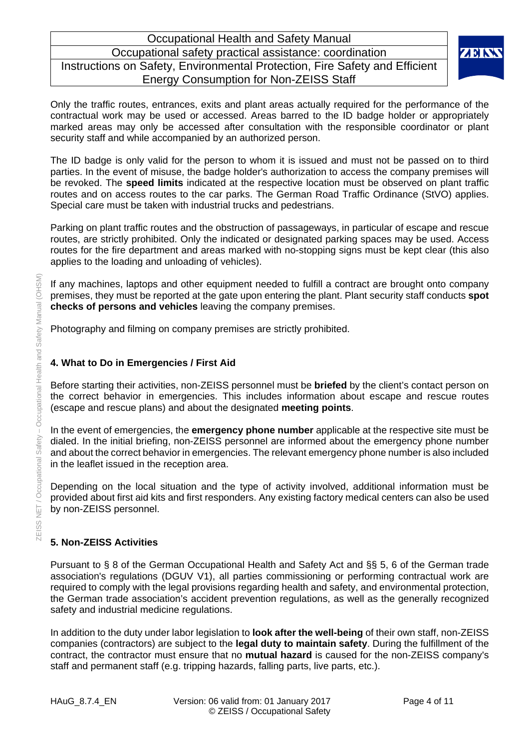

Only the traffic routes, entrances, exits and plant areas actually required for the performance of the contractual work may be used or accessed. Areas barred to the ID badge holder or appropriately marked areas may only be accessed after consultation with the responsible coordinator or plant security staff and while accompanied by an authorized person.

The ID badge is only valid for the person to whom it is issued and must not be passed on to third parties. In the event of misuse, the badge holder's authorization to access the company premises will be revoked. The **speed limits** indicated at the respective location must be observed on plant traffic routes and on access routes to the car parks. The German Road Traffic Ordinance (StVO) applies. Special care must be taken with industrial trucks and pedestrians.

Parking on plant traffic routes and the obstruction of passageways, in particular of escape and rescue routes, are strictly prohibited. Only the indicated or designated parking spaces may be used. Access routes for the fire department and areas marked with no-stopping signs must be kept clear (this also applies to the loading and unloading of vehicles).

If any machines, laptops and other equipment needed to fulfill a contract are brought onto company premises, they must be reported at the gate upon entering the plant. Plant security staff conducts **spot checks of persons and vehicles** leaving the company premises.

Photography and filming on company premises are strictly prohibited.

#### **4. What to Do in Emergencies / First Aid**

Before starting their activities, non-ZEISS personnel must be **briefed** by the client's contact person on the correct behavior in emergencies. This includes information about escape and rescue routes (escape and rescue plans) and about the designated **meeting points**.

In the event of emergencies, the **emergency phone number** applicable at the respective site must be dialed. In the initial briefing, non-ZEISS personnel are informed about the emergency phone number and about the correct behavior in emergencies. The relevant emergency phone number is also included in the leaflet issued in the reception area.

Depending on the local situation and the type of activity involved, additional information must be provided about first aid kits and first responders. Any existing factory medical centers can also be used by non-ZEISS personnel.

#### **5. Non-ZEISS Activities**

Pursuant to § 8 of the German Occupational Health and Safety Act and §§ 5, 6 of the German trade association's regulations (DGUV V1), all parties commissioning or performing contractual work are required to comply with the legal provisions regarding health and safety, and environmental protection, the German trade association's accident prevention regulations, as well as the generally recognized safety and industrial medicine regulations.

In addition to the duty under labor legislation to **look after the well-being** of their own staff, non-ZEISS companies (contractors) are subject to the **legal duty to maintain safety**. During the fulfillment of the contract, the contractor must ensure that no **mutual hazard** is caused for the non-ZEISS company's staff and permanent staff (e.g. tripping hazards, falling parts, live parts, etc.).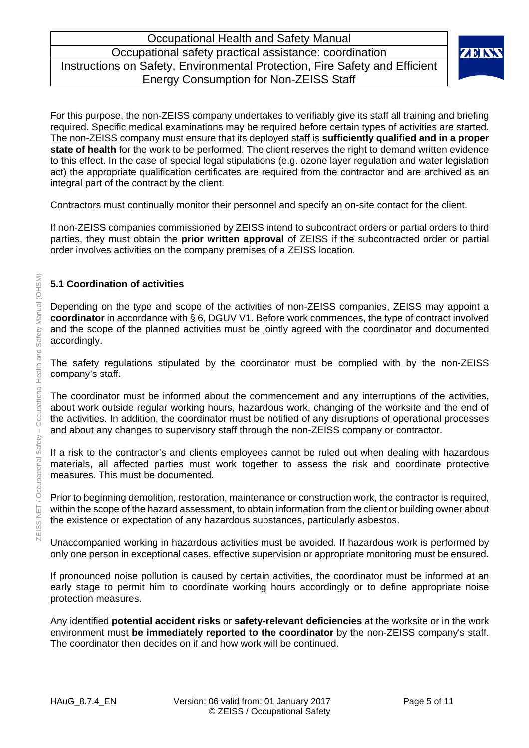

For this purpose, the non-ZEISS company undertakes to verifiably give its staff all training and briefing required. Specific medical examinations may be required before certain types of activities are started. The non-ZEISS company must ensure that its deployed staff is **sufficiently qualified and in a proper state of health** for the work to be performed. The client reserves the right to demand written evidence to this effect. In the case of special legal stipulations (e.g. ozone layer regulation and water legislation act) the appropriate qualification certificates are required from the contractor and are archived as an integral part of the contract by the client.

Contractors must continually monitor their personnel and specify an on-site contact for the client.

If non-ZEISS companies commissioned by ZEISS intend to subcontract orders or partial orders to third parties, they must obtain the **prior written approval** of ZEISS if the subcontracted order or partial order involves activities on the company premises of a ZEISS location.

#### **5.1 Coordination of activities**

Depending on the type and scope of the activities of non-ZEISS companies, ZEISS may appoint a **coordinator** in accordance with § 6, DGUV V1. Before work commences, the type of contract involved and the scope of the planned activities must be jointly agreed with the coordinator and documented accordingly.

The safety regulations stipulated by the coordinator must be complied with by the non-ZEISS company's staff.

The coordinator must be informed about the commencement and any interruptions of the activities, about work outside regular working hours, hazardous work, changing of the worksite and the end of the activities. In addition, the coordinator must be notified of any disruptions of operational processes and about any changes to supervisory staff through the non-ZEISS company or contractor.

If a risk to the contractor's and clients employees cannot be ruled out when dealing with hazardous materials, all affected parties must work together to assess the risk and coordinate protective measures. This must be documented.

Prior to beginning demolition, restoration, maintenance or construction work, the contractor is required, within the scope of the hazard assessment, to obtain information from the client or building owner about the existence or expectation of any hazardous substances, particularly asbestos.

Unaccompanied working in hazardous activities must be avoided. If hazardous work is performed by only one person in exceptional cases, effective supervision or appropriate monitoring must be ensured.

If pronounced noise pollution is caused by certain activities, the coordinator must be informed at an early stage to permit him to coordinate working hours accordingly or to define appropriate noise protection measures.

Any identified **potential accident risks** or **safety-relevant deficiencies** at the worksite or in the work environment must **be immediately reported to the coordinator** by the non-ZEISS company's staff. The coordinator then decides on if and how work will be continued.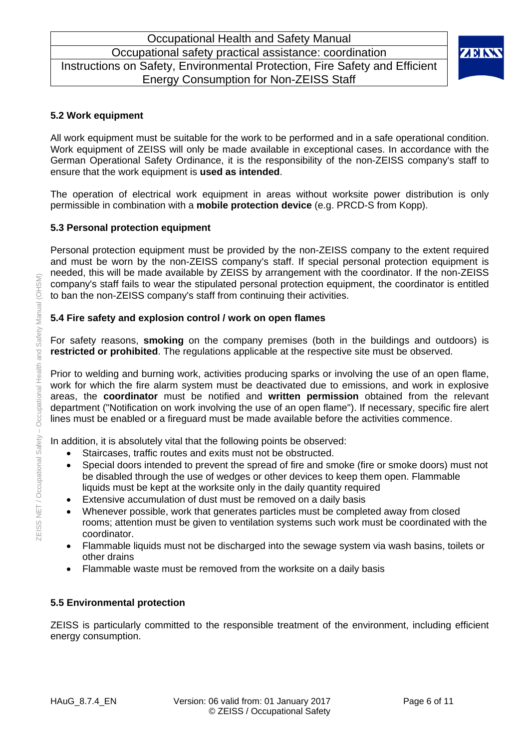

#### **5.2 Work equipment**

All work equipment must be suitable for the work to be performed and in a safe operational condition. Work equipment of ZEISS will only be made available in exceptional cases. In accordance with the German Operational Safety Ordinance, it is the responsibility of the non-ZEISS company's staff to ensure that the work equipment is **used as intended**.

The operation of electrical work equipment in areas without worksite power distribution is only permissible in combination with a **mobile protection device** (e.g. PRCD-S from Kopp).

#### **5.3 Personal protection equipment**

Personal protection equipment must be provided by the non-ZEISS company to the extent required and must be worn by the non-ZEISS company's staff. If special personal protection equipment is needed, this will be made available by ZEISS by arrangement with the coordinator. If the non-ZEISS company's staff fails to wear the stipulated personal protection equipment, the coordinator is entitled to ban the non-ZEISS company's staff from continuing their activities.

#### **5.4 Fire safety and explosion control / work on open flames**

For safety reasons, **smoking** on the company premises (both in the buildings and outdoors) is **restricted or prohibited**. The regulations applicable at the respective site must be observed.

Prior to welding and burning work, activities producing sparks or involving the use of an open flame, work for which the fire alarm system must be deactivated due to emissions, and work in explosive areas, the **coordinator** must be notified and **written permission** obtained from the relevant department ("Notification on work involving the use of an open flame"). If necessary, specific fire alert lines must be enabled or a fireguard must be made available before the activities commence.

In addition, it is absolutely vital that the following points be observed:

- Staircases, traffic routes and exits must not be obstructed.
- Special doors intended to prevent the spread of fire and smoke (fire or smoke doors) must not be disabled through the use of wedges or other devices to keep them open. Flammable liquids must be kept at the worksite only in the daily quantity required
- Extensive accumulation of dust must be removed on a daily basis
- Whenever possible, work that generates particles must be completed away from closed rooms; attention must be given to ventilation systems such work must be coordinated with the coordinator.
- Flammable liquids must not be discharged into the sewage system via wash basins, toilets or other drains
- Flammable waste must be removed from the worksite on a daily basis

#### **5.5 Environmental protection**

ZEISS is particularly committed to the responsible treatment of the environment, including efficient energy consumption.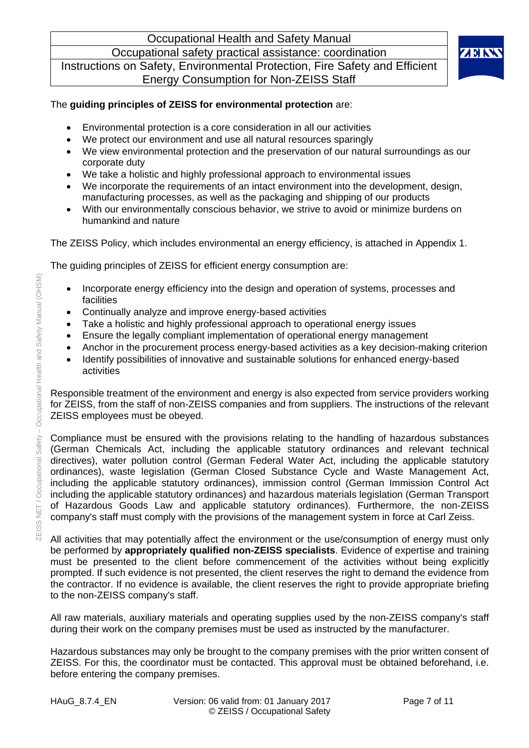Occupational Health and Safety Manual

Occupational safety practical assistance: coordination Instructions on Safety, Environmental Protection, Fire Safety and Efficient Energy Consumption for Non-ZEISS Staff



# The **guiding principles of ZEISS for environmental protection** are:

- Environmental protection is a core consideration in all our activities
- We protect our environment and use all natural resources sparingly
- We view environmental protection and the preservation of our natural surroundings as our corporate duty
- We take a holistic and highly professional approach to environmental issues
- We incorporate the requirements of an intact environment into the development, design, manufacturing processes, as well as the packaging and shipping of our products
- With our environmentally conscious behavior, we strive to avoid or minimize burdens on humankind and nature

The ZEISS Policy, which includes environmental an energy efficiency, is attached in Appendix 1.

The guiding principles of ZEISS for efficient energy consumption are:

- Incorporate energy efficiency into the design and operation of systems, processes and facilities
- Continually analyze and improve energy-based activities
- Take a holistic and highly professional approach to operational energy issues
- Ensure the legally compliant implementation of operational energy management
- Anchor in the procurement process energy-based activities as a key decision-making criterion
- Identify possibilities of innovative and sustainable solutions for enhanced energy-based activities

Responsible treatment of the environment and energy is also expected from service providers working for ZEISS, from the staff of non-ZEISS companies and from suppliers. The instructions of the relevant ZEISS employees must be obeyed.

Compliance must be ensured with the provisions relating to the handling of hazardous substances (German Chemicals Act, including the applicable statutory ordinances and relevant technical directives), water pollution control (German Federal Water Act, including the applicable statutory ordinances), waste legislation (German Closed Substance Cycle and Waste Management Act, including the applicable statutory ordinances), immission control (German Immission Control Act including the applicable statutory ordinances) and hazardous materials legislation (German Transport of Hazardous Goods Law and applicable statutory ordinances). Furthermore, the non-ZEISS company's staff must comply with the provisions of the management system in force at Carl Zeiss.

All activities that may potentially affect the environment or the use/consumption of energy must only be performed by **appropriately qualified non-ZEISS specialists**. Evidence of expertise and training must be presented to the client before commencement of the activities without being explicitly prompted. If such evidence is not presented, the client reserves the right to demand the evidence from the contractor. If no evidence is available, the client reserves the right to provide appropriate briefing to the non-ZEISS company's staff.

All raw materials, auxiliary materials and operating supplies used by the non-ZEISS company's staff during their work on the company premises must be used as instructed by the manufacturer.

Hazardous substances may only be brought to the company premises with the prior written consent of ZEISS. For this, the coordinator must be contacted. This approval must be obtained beforehand, i.e. before entering the company premises.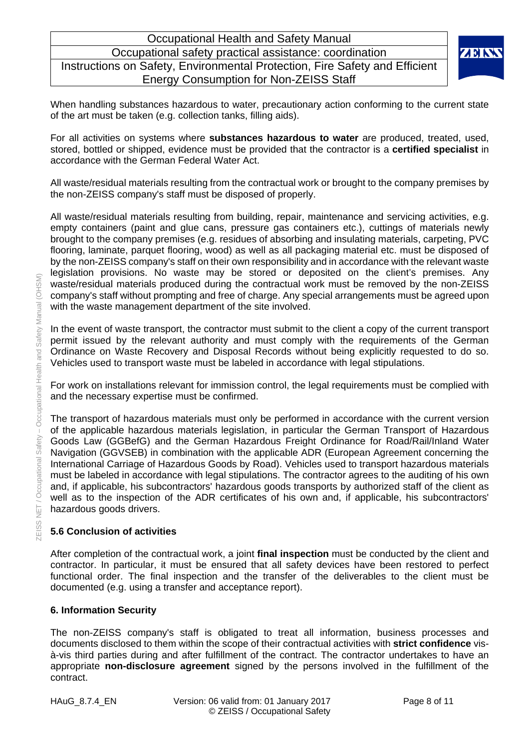

When handling substances hazardous to water, precautionary action conforming to the current state of the art must be taken (e.g. collection tanks, filling aids).

For all activities on systems where **substances hazardous to water** are produced, treated, used, stored, bottled or shipped, evidence must be provided that the contractor is a **certified specialist** in accordance with the German Federal Water Act.

All waste/residual materials resulting from the contractual work or brought to the company premises by the non-ZEISS company's staff must be disposed of properly.

All waste/residual materials resulting from building, repair, maintenance and servicing activities, e.g. empty containers (paint and glue cans, pressure gas containers etc.), cuttings of materials newly brought to the company premises (e.g. residues of absorbing and insulating materials, carpeting, PVC flooring, laminate, parquet flooring, wood) as well as all packaging material etc. must be disposed of by the non-ZEISS company's staff on their own responsibility and in accordance with the relevant waste legislation provisions. No waste may be stored or deposited on the client's premises. Any waste/residual materials produced during the contractual work must be removed by the non-ZEISS company's staff without prompting and free of charge. Any special arrangements must be agreed upon with the waste management department of the site involved.

In the event of waste transport, the contractor must submit to the client a copy of the current transport permit issued by the relevant authority and must comply with the requirements of the German Ordinance on Waste Recovery and Disposal Records without being explicitly requested to do so. Vehicles used to transport waste must be labeled in accordance with legal stipulations.

For work on installations relevant for immission control, the legal requirements must be complied with and the necessary expertise must be confirmed.

The transport of hazardous materials must only be performed in accordance with the current version of the applicable hazardous materials legislation, in particular the German Transport of Hazardous Goods Law (GGBefG) and the German Hazardous Freight Ordinance for Road/Rail/Inland Water Navigation (GGVSEB) in combination with the applicable ADR (European Agreement concerning the International Carriage of Hazardous Goods by Road). Vehicles used to transport hazardous materials must be labeled in accordance with legal stipulations. The contractor agrees to the auditing of his own and, if applicable, his subcontractors' hazardous goods transports by authorized staff of the client as well as to the inspection of the ADR certificates of his own and, if applicable, his subcontractors' hazardous goods drivers.

#### **5.6 Conclusion of activities**

After completion of the contractual work, a joint **final inspection** must be conducted by the client and contractor. In particular, it must be ensured that all safety devices have been restored to perfect functional order. The final inspection and the transfer of the deliverables to the client must be documented (e.g. using a transfer and acceptance report).

#### **6. Information Security**

The non-ZEISS company's staff is obligated to treat all information, business processes and documents disclosed to them within the scope of their contractual activities with **strict confidence** visà-vis third parties during and after fulfillment of the contract. The contractor undertakes to have an appropriate **non-disclosure agreement** signed by the persons involved in the fulfillment of the contract.

 $(OHSM)$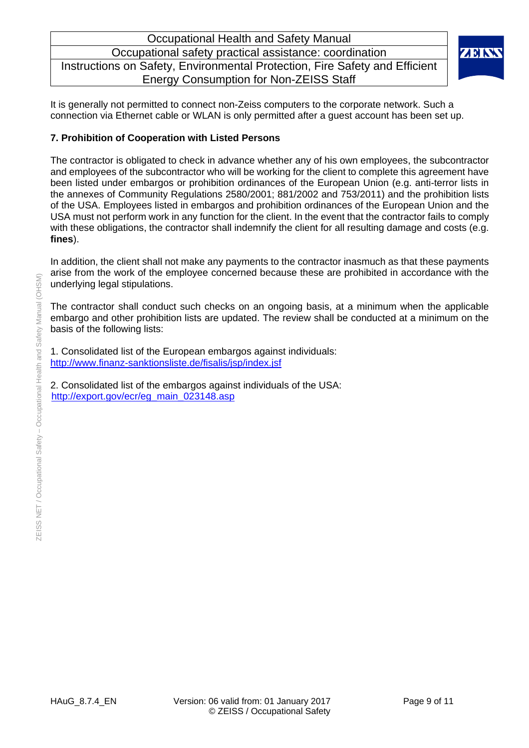

It is generally not permitted to connect non-Zeiss computers to the corporate network. Such a connection via Ethernet cable or WLAN is only permitted after a guest account has been set up.

#### **7. Prohibition of Cooperation with Listed Persons**

The contractor is obligated to check in advance whether any of his own employees, the subcontractor and employees of the subcontractor who will be working for the client to complete this agreement have been listed under embargos or prohibition ordinances of the European Union (e.g. anti-terror lists in the annexes of Community Regulations 2580/2001; 881/2002 and 753/2011) and the prohibition lists of the USA. Employees listed in embargos and prohibition ordinances of the European Union and the USA must not perform work in any function for the client. In the event that the contractor fails to comply with these obligations, the contractor shall indemnify the client for all resulting damage and costs (e.g. **fines**).

In addition, the client shall not make any payments to the contractor inasmuch as that these payments arise from the work of the employee concerned because these are prohibited in accordance with the underlying legal stipulations.

The contractor shall conduct such checks on an ongoing basis, at a minimum when the applicable embargo and other prohibition lists are updated. The review shall be conducted at a minimum on the basis of the following lists:

1. Consolidated list of the European embargos against individuals: http://www.finanz-sanktionsliste.de/fisalis/jsp/index.jsf

2. Consolidated list of the embargos against individuals of the USA: http://export.gov/ecr/eg\_main\_023148.asp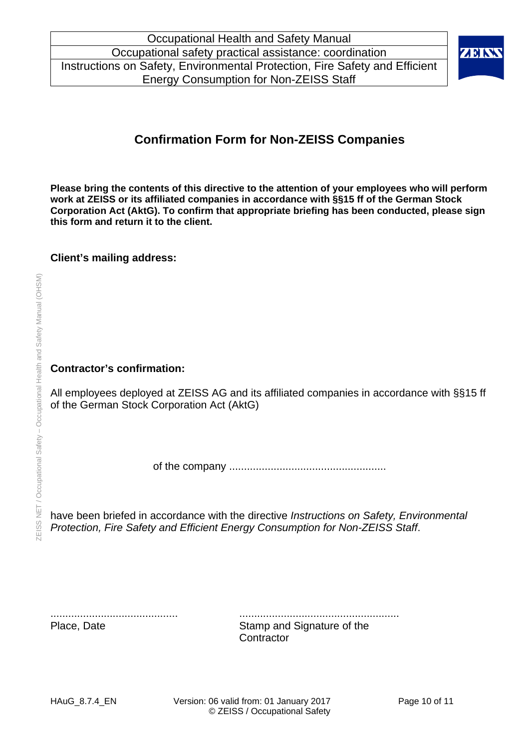

# **Confirmation Form for Non-ZEISS Companies**

**Please bring the contents of this directive to the attention of your employees who will perform work at ZEISS or its affiliated companies in accordance with §§15 ff of the German Stock Corporation Act (AktG). To confirm that appropriate briefing has been conducted, please sign this form and return it to the client.** 

#### **Client's mailing address:**

#### **Contractor's confirmation:**

All employees deployed at ZEISS AG and its affiliated companies in accordance with §§15 ff of the German Stock Corporation Act (AktG)

of the company .....................................................

have been briefed in accordance with the directive *Instructions on Safety, Environmental Protection, Fire Safety and Efficient Energy Consumption for Non-ZEISS Staff*.

........................................... ......................................................

Place, Date Stamp and Signature of the **Contractor**